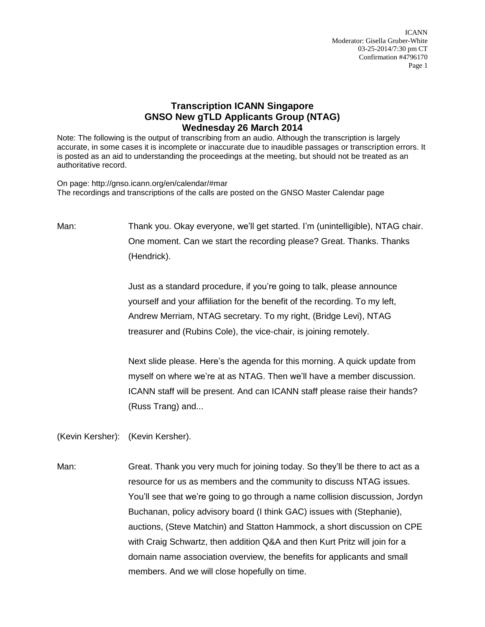ICANN Moderator: Gisella Gruber-White 03-25-2014/7:30 pm CT Confirmation #4796170 Page 1

## **Transcription ICANN Singapore GNSO New gTLD Applicants Group (NTAG) Wednesday 26 March 2014**

Note: The following is the output of transcribing from an audio. Although the transcription is largely accurate, in some cases it is incomplete or inaccurate due to inaudible passages or transcription errors. It is posted as an aid to understanding the proceedings at the meeting, but should not be treated as an authoritative record.

On page: http://gnso.icann.org/en/calendar/#mar The recordings and transcriptions of the calls are posted on the GNSO Master Calendar page

Man: Thank you. Okay everyone, we'll get started. I'm (unintelligible), NTAG chair. One moment. Can we start the recording please? Great. Thanks. Thanks (Hendrick).

> Just as a standard procedure, if you're going to talk, please announce yourself and your affiliation for the benefit of the recording. To my left, Andrew Merriam, NTAG secretary. To my right, (Bridge Levi), NTAG treasurer and (Rubins Cole), the vice-chair, is joining remotely.

Next slide please. Here's the agenda for this morning. A quick update from myself on where we're at as NTAG. Then we'll have a member discussion. ICANN staff will be present. And can ICANN staff please raise their hands? (Russ Trang) and...

(Kevin Kersher): (Kevin Kersher).

Man: Great. Thank you very much for joining today. So they'll be there to act as a resource for us as members and the community to discuss NTAG issues. You'll see that we're going to go through a name collision discussion, Jordyn Buchanan, policy advisory board (I think GAC) issues with (Stephanie), auctions, (Steve Matchin) and Statton Hammock, a short discussion on CPE with Craig Schwartz, then addition Q&A and then Kurt Pritz will join for a domain name association overview, the benefits for applicants and small members. And we will close hopefully on time.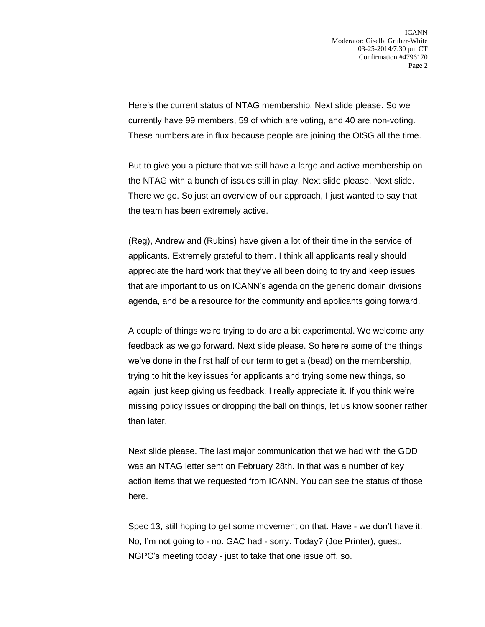Here's the current status of NTAG membership. Next slide please. So we currently have 99 members, 59 of which are voting, and 40 are non-voting. These numbers are in flux because people are joining the OISG all the time.

But to give you a picture that we still have a large and active membership on the NTAG with a bunch of issues still in play. Next slide please. Next slide. There we go. So just an overview of our approach, I just wanted to say that the team has been extremely active.

(Reg), Andrew and (Rubins) have given a lot of their time in the service of applicants. Extremely grateful to them. I think all applicants really should appreciate the hard work that they've all been doing to try and keep issues that are important to us on ICANN's agenda on the generic domain divisions agenda, and be a resource for the community and applicants going forward.

A couple of things we're trying to do are a bit experimental. We welcome any feedback as we go forward. Next slide please. So here're some of the things we've done in the first half of our term to get a (bead) on the membership, trying to hit the key issues for applicants and trying some new things, so again, just keep giving us feedback. I really appreciate it. If you think we're missing policy issues or dropping the ball on things, let us know sooner rather than later.

Next slide please. The last major communication that we had with the GDD was an NTAG letter sent on February 28th. In that was a number of key action items that we requested from ICANN. You can see the status of those here.

Spec 13, still hoping to get some movement on that. Have - we don't have it. No, I'm not going to - no. GAC had - sorry. Today? (Joe Printer), guest, NGPC's meeting today - just to take that one issue off, so.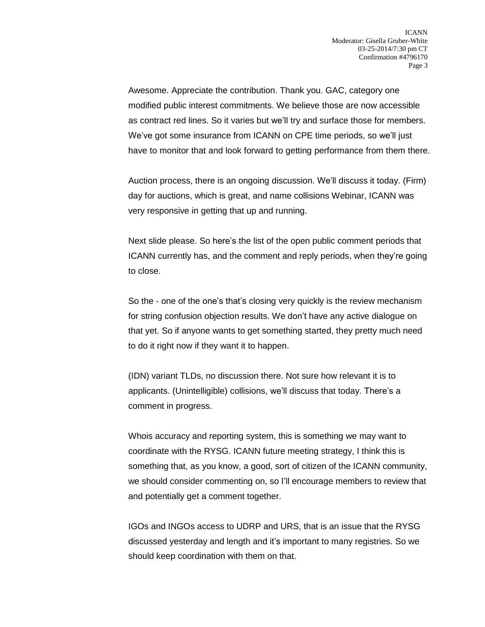Awesome. Appreciate the contribution. Thank you. GAC, category one modified public interest commitments. We believe those are now accessible as contract red lines. So it varies but we'll try and surface those for members. We've got some insurance from ICANN on CPE time periods, so we'll just have to monitor that and look forward to getting performance from them there.

Auction process, there is an ongoing discussion. We'll discuss it today. (Firm) day for auctions, which is great, and name collisions Webinar, ICANN was very responsive in getting that up and running.

Next slide please. So here's the list of the open public comment periods that ICANN currently has, and the comment and reply periods, when they're going to close.

So the - one of the one's that's closing very quickly is the review mechanism for string confusion objection results. We don't have any active dialogue on that yet. So if anyone wants to get something started, they pretty much need to do it right now if they want it to happen.

(IDN) variant TLDs, no discussion there. Not sure how relevant it is to applicants. (Unintelligible) collisions, we'll discuss that today. There's a comment in progress.

Whois accuracy and reporting system, this is something we may want to coordinate with the RYSG. ICANN future meeting strategy, I think this is something that, as you know, a good, sort of citizen of the ICANN community, we should consider commenting on, so I'll encourage members to review that and potentially get a comment together.

IGOs and INGOs access to UDRP and URS, that is an issue that the RYSG discussed yesterday and length and it's important to many registries. So we should keep coordination with them on that.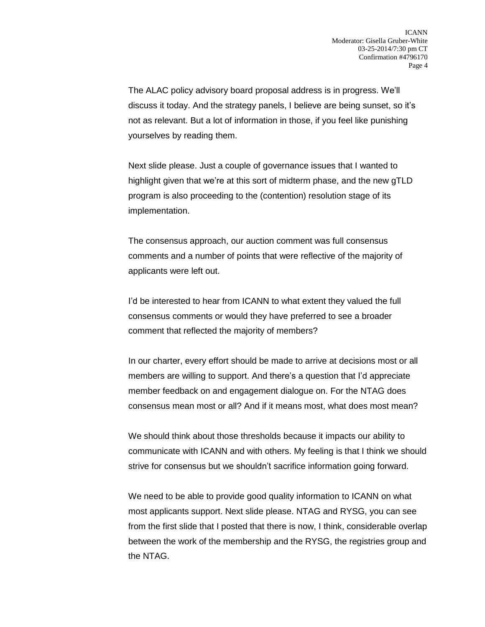The ALAC policy advisory board proposal address is in progress. We'll discuss it today. And the strategy panels, I believe are being sunset, so it's not as relevant. But a lot of information in those, if you feel like punishing yourselves by reading them.

Next slide please. Just a couple of governance issues that I wanted to highlight given that we're at this sort of midterm phase, and the new gTLD program is also proceeding to the (contention) resolution stage of its implementation.

The consensus approach, our auction comment was full consensus comments and a number of points that were reflective of the majority of applicants were left out.

I'd be interested to hear from ICANN to what extent they valued the full consensus comments or would they have preferred to see a broader comment that reflected the majority of members?

In our charter, every effort should be made to arrive at decisions most or all members are willing to support. And there's a question that I'd appreciate member feedback on and engagement dialogue on. For the NTAG does consensus mean most or all? And if it means most, what does most mean?

We should think about those thresholds because it impacts our ability to communicate with ICANN and with others. My feeling is that I think we should strive for consensus but we shouldn't sacrifice information going forward.

We need to be able to provide good quality information to ICANN on what most applicants support. Next slide please. NTAG and RYSG, you can see from the first slide that I posted that there is now, I think, considerable overlap between the work of the membership and the RYSG, the registries group and the NTAG.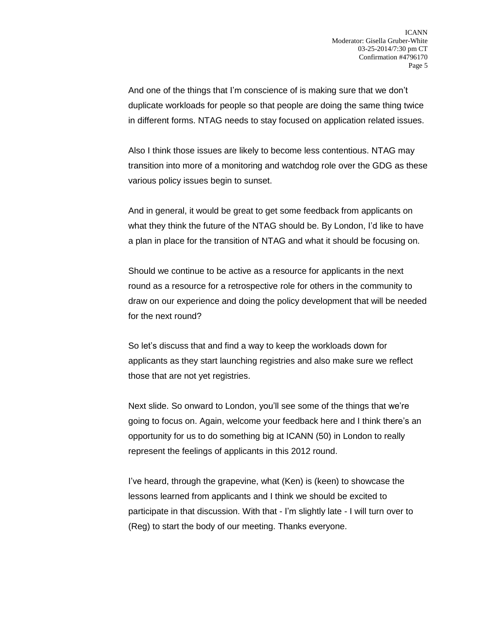And one of the things that I'm conscience of is making sure that we don't duplicate workloads for people so that people are doing the same thing twice in different forms. NTAG needs to stay focused on application related issues.

Also I think those issues are likely to become less contentious. NTAG may transition into more of a monitoring and watchdog role over the GDG as these various policy issues begin to sunset.

And in general, it would be great to get some feedback from applicants on what they think the future of the NTAG should be. By London, I'd like to have a plan in place for the transition of NTAG and what it should be focusing on.

Should we continue to be active as a resource for applicants in the next round as a resource for a retrospective role for others in the community to draw on our experience and doing the policy development that will be needed for the next round?

So let's discuss that and find a way to keep the workloads down for applicants as they start launching registries and also make sure we reflect those that are not yet registries.

Next slide. So onward to London, you'll see some of the things that we're going to focus on. Again, welcome your feedback here and I think there's an opportunity for us to do something big at ICANN (50) in London to really represent the feelings of applicants in this 2012 round.

I've heard, through the grapevine, what (Ken) is (keen) to showcase the lessons learned from applicants and I think we should be excited to participate in that discussion. With that - I'm slightly late - I will turn over to (Reg) to start the body of our meeting. Thanks everyone.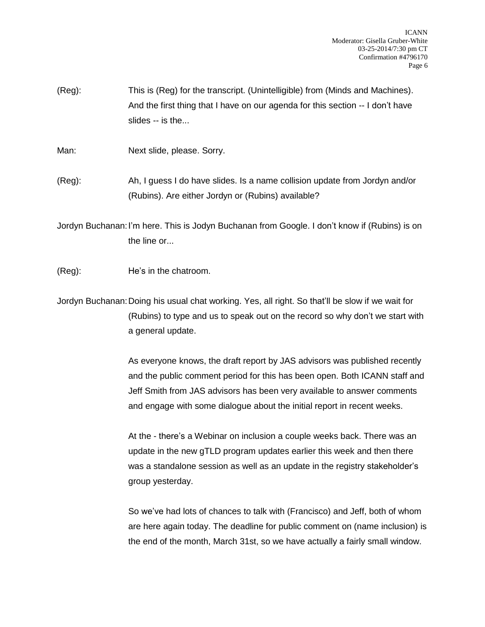(Reg): This is (Reg) for the transcript. (Unintelligible) from (Minds and Machines). And the first thing that I have on our agenda for this section -- I don't have slides -- is the...

Man: Next slide, please. Sorry.

(Reg): Ah, I guess I do have slides. Is a name collision update from Jordyn and/or (Rubins). Are either Jordyn or (Rubins) available?

Jordyn Buchanan:I'm here. This is Jodyn Buchanan from Google. I don't know if (Rubins) is on the line or...

(Reg): He's in the chatroom.

Jordyn Buchanan:Doing his usual chat working. Yes, all right. So that'll be slow if we wait for (Rubins) to type and us to speak out on the record so why don't we start with a general update.

> As everyone knows, the draft report by JAS advisors was published recently and the public comment period for this has been open. Both ICANN staff and Jeff Smith from JAS advisors has been very available to answer comments and engage with some dialogue about the initial report in recent weeks.

At the - there's a Webinar on inclusion a couple weeks back. There was an update in the new gTLD program updates earlier this week and then there was a standalone session as well as an update in the registry stakeholder's group yesterday.

So we've had lots of chances to talk with (Francisco) and Jeff, both of whom are here again today. The deadline for public comment on (name inclusion) is the end of the month, March 31st, so we have actually a fairly small window.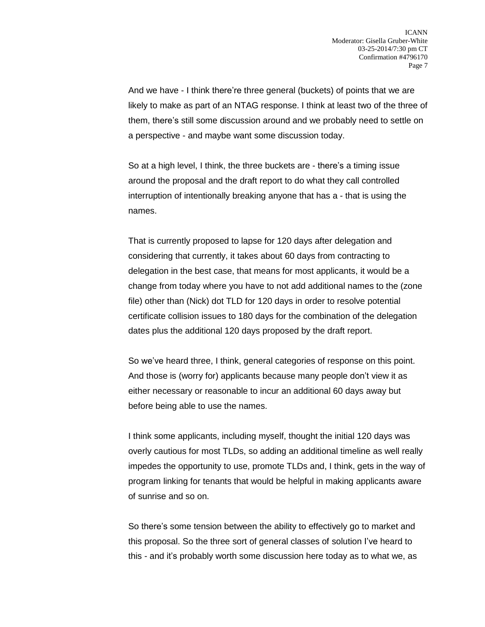And we have - I think there're three general (buckets) of points that we are likely to make as part of an NTAG response. I think at least two of the three of them, there's still some discussion around and we probably need to settle on a perspective - and maybe want some discussion today.

So at a high level, I think, the three buckets are - there's a timing issue around the proposal and the draft report to do what they call controlled interruption of intentionally breaking anyone that has a - that is using the names.

That is currently proposed to lapse for 120 days after delegation and considering that currently, it takes about 60 days from contracting to delegation in the best case, that means for most applicants, it would be a change from today where you have to not add additional names to the (zone file) other than (Nick) dot TLD for 120 days in order to resolve potential certificate collision issues to 180 days for the combination of the delegation dates plus the additional 120 days proposed by the draft report.

So we've heard three, I think, general categories of response on this point. And those is (worry for) applicants because many people don't view it as either necessary or reasonable to incur an additional 60 days away but before being able to use the names.

I think some applicants, including myself, thought the initial 120 days was overly cautious for most TLDs, so adding an additional timeline as well really impedes the opportunity to use, promote TLDs and, I think, gets in the way of program linking for tenants that would be helpful in making applicants aware of sunrise and so on.

So there's some tension between the ability to effectively go to market and this proposal. So the three sort of general classes of solution I've heard to this - and it's probably worth some discussion here today as to what we, as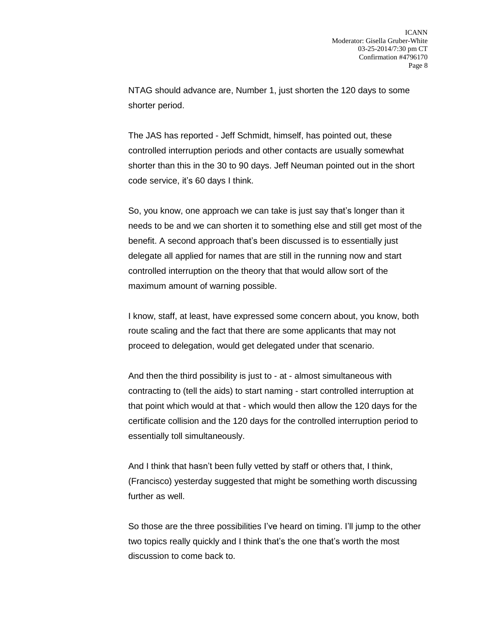NTAG should advance are, Number 1, just shorten the 120 days to some shorter period.

The JAS has reported - Jeff Schmidt, himself, has pointed out, these controlled interruption periods and other contacts are usually somewhat shorter than this in the 30 to 90 days. Jeff Neuman pointed out in the short code service, it's 60 days I think.

So, you know, one approach we can take is just say that's longer than it needs to be and we can shorten it to something else and still get most of the benefit. A second approach that's been discussed is to essentially just delegate all applied for names that are still in the running now and start controlled interruption on the theory that that would allow sort of the maximum amount of warning possible.

I know, staff, at least, have expressed some concern about, you know, both route scaling and the fact that there are some applicants that may not proceed to delegation, would get delegated under that scenario.

And then the third possibility is just to - at - almost simultaneous with contracting to (tell the aids) to start naming - start controlled interruption at that point which would at that - which would then allow the 120 days for the certificate collision and the 120 days for the controlled interruption period to essentially toll simultaneously.

And I think that hasn't been fully vetted by staff or others that, I think, (Francisco) yesterday suggested that might be something worth discussing further as well.

So those are the three possibilities I've heard on timing. I'll jump to the other two topics really quickly and I think that's the one that's worth the most discussion to come back to.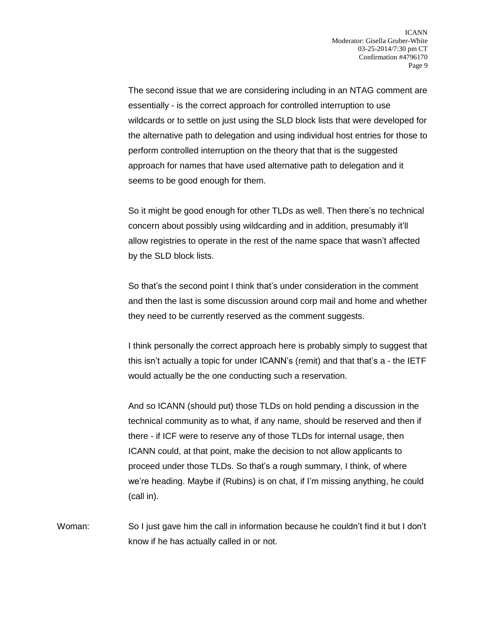The second issue that we are considering including in an NTAG comment are essentially - is the correct approach for controlled interruption to use wildcards or to settle on just using the SLD block lists that were developed for the alternative path to delegation and using individual host entries for those to perform controlled interruption on the theory that that is the suggested approach for names that have used alternative path to delegation and it seems to be good enough for them.

So it might be good enough for other TLDs as well. Then there's no technical concern about possibly using wildcarding and in addition, presumably it'll allow registries to operate in the rest of the name space that wasn't affected by the SLD block lists.

So that's the second point I think that's under consideration in the comment and then the last is some discussion around corp mail and home and whether they need to be currently reserved as the comment suggests.

I think personally the correct approach here is probably simply to suggest that this isn't actually a topic for under ICANN's (remit) and that that's a - the IETF would actually be the one conducting such a reservation.

And so ICANN (should put) those TLDs on hold pending a discussion in the technical community as to what, if any name, should be reserved and then if there - if ICF were to reserve any of those TLDs for internal usage, then ICANN could, at that point, make the decision to not allow applicants to proceed under those TLDs. So that's a rough summary, I think, of where we're heading. Maybe if (Rubins) is on chat, if I'm missing anything, he could (call in).

Woman: So I just gave him the call in information because he couldn't find it but I don't know if he has actually called in or not.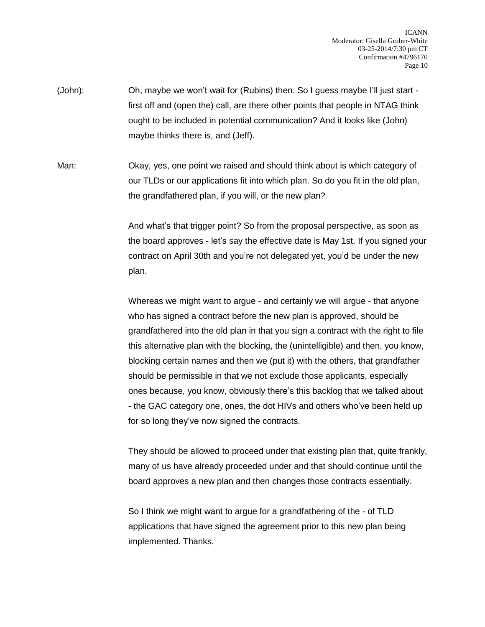- (John): Oh, maybe we won't wait for (Rubins) then. So I guess maybe I'll just start first off and (open the) call, are there other points that people in NTAG think ought to be included in potential communication? And it looks like (John) maybe thinks there is, and (Jeff).
- Man: Okay, yes, one point we raised and should think about is which category of our TLDs or our applications fit into which plan. So do you fit in the old plan, the grandfathered plan, if you will, or the new plan?

And what's that trigger point? So from the proposal perspective, as soon as the board approves - let's say the effective date is May 1st. If you signed your contract on April 30th and you're not delegated yet, you'd be under the new plan.

Whereas we might want to argue - and certainly we will argue - that anyone who has signed a contract before the new plan is approved, should be grandfathered into the old plan in that you sign a contract with the right to file this alternative plan with the blocking, the (unintelligible) and then, you know, blocking certain names and then we (put it) with the others, that grandfather should be permissible in that we not exclude those applicants, especially ones because, you know, obviously there's this backlog that we talked about - the GAC category one, ones, the dot HIVs and others who've been held up for so long they've now signed the contracts.

They should be allowed to proceed under that existing plan that, quite frankly, many of us have already proceeded under and that should continue until the board approves a new plan and then changes those contracts essentially.

So I think we might want to argue for a grandfathering of the - of TLD applications that have signed the agreement prior to this new plan being implemented. Thanks.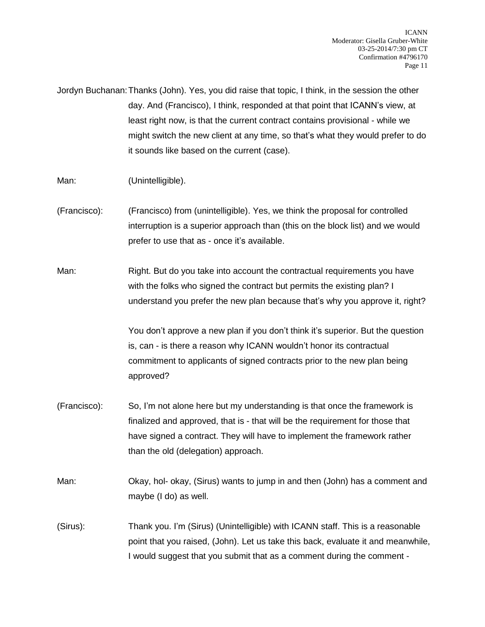Jordyn Buchanan:Thanks (John). Yes, you did raise that topic, I think, in the session the other day. And (Francisco), I think, responded at that point that ICANN's view, at least right now, is that the current contract contains provisional - while we might switch the new client at any time, so that's what they would prefer to do it sounds like based on the current (case).

- Man: (Unintelligible).
- (Francisco): (Francisco) from (unintelligible). Yes, we think the proposal for controlled interruption is a superior approach than (this on the block list) and we would prefer to use that as - once it's available.

Man: Right. But do you take into account the contractual requirements you have with the folks who signed the contract but permits the existing plan? I understand you prefer the new plan because that's why you approve it, right?

> You don't approve a new plan if you don't think it's superior. But the question is, can - is there a reason why ICANN wouldn't honor its contractual commitment to applicants of signed contracts prior to the new plan being approved?

- (Francisco): So, I'm not alone here but my understanding is that once the framework is finalized and approved, that is - that will be the requirement for those that have signed a contract. They will have to implement the framework rather than the old (delegation) approach.
- Man: Okay, hol- okay, (Sirus) wants to jump in and then (John) has a comment and maybe (I do) as well.
- (Sirus): Thank you. I'm (Sirus) (Unintelligible) with ICANN staff. This is a reasonable point that you raised, (John). Let us take this back, evaluate it and meanwhile, I would suggest that you submit that as a comment during the comment -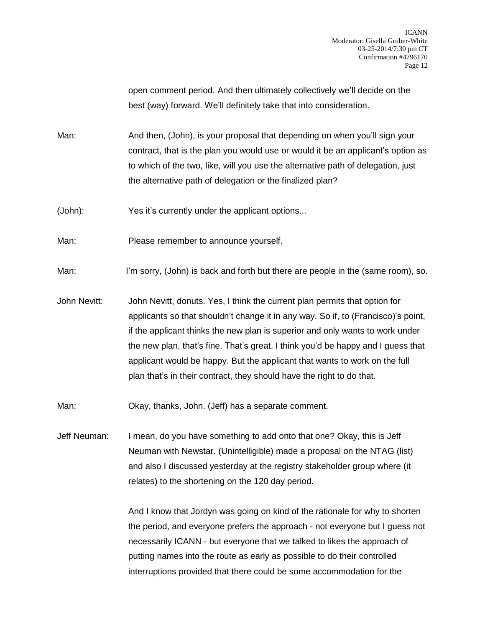open comment period. And then ultimately collectively we'll decide on the best (way) forward. We'll definitely take that into consideration.

Man: And then, (John), is your proposal that depending on when you'll sign your contract, that is the plan you would use or would it be an applicant's option as to which of the two, like, will you use the alternative path of delegation, just the alternative path of delegation or the finalized plan?

(John): Yes it's currently under the applicant options...

Man: Please remember to announce yourself.

Man: I'm sorry, (John) is back and forth but there are people in the (same room), so.

John Nevitt: John Nevitt, donuts. Yes, I think the current plan permits that option for applicants so that shouldn't change it in any way. So if, to (Francisco)'s point, if the applicant thinks the new plan is superior and only wants to work under the new plan, that's fine. That's great. I think you'd be happy and I guess that applicant would be happy. But the applicant that wants to work on the full plan that's in their contract, they should have the right to do that.

Man: Okay, thanks, John. (Jeff) has a separate comment.

Jeff Neuman: I mean, do you have something to add onto that one? Okay, this is Jeff Neuman with Newstar. (Unintelligible) made a proposal on the NTAG (list) and also I discussed yesterday at the registry stakeholder group where (it relates) to the shortening on the 120 day period.

> And I know that Jordyn was going on kind of the rationale for why to shorten the period, and everyone prefers the approach - not everyone but I guess not necessarily ICANN - but everyone that we talked to likes the approach of putting names into the route as early as possible to do their controlled interruptions provided that there could be some accommodation for the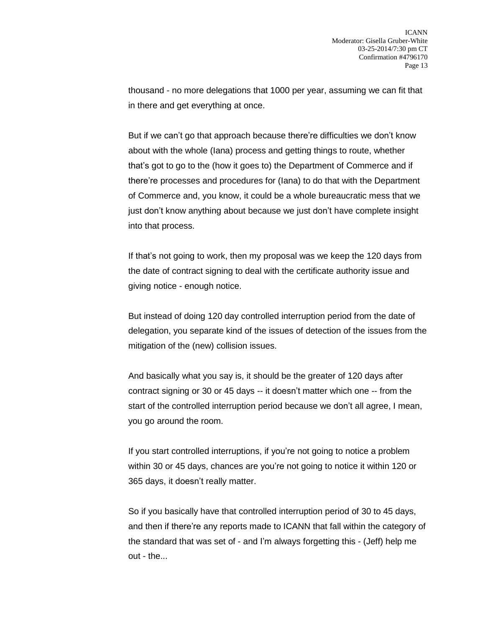thousand - no more delegations that 1000 per year, assuming we can fit that in there and get everything at once.

But if we can't go that approach because there're difficulties we don't know about with the whole (Iana) process and getting things to route, whether that's got to go to the (how it goes to) the Department of Commerce and if there're processes and procedures for (Iana) to do that with the Department of Commerce and, you know, it could be a whole bureaucratic mess that we just don't know anything about because we just don't have complete insight into that process.

If that's not going to work, then my proposal was we keep the 120 days from the date of contract signing to deal with the certificate authority issue and giving notice - enough notice.

But instead of doing 120 day controlled interruption period from the date of delegation, you separate kind of the issues of detection of the issues from the mitigation of the (new) collision issues.

And basically what you say is, it should be the greater of 120 days after contract signing or 30 or 45 days -- it doesn't matter which one -- from the start of the controlled interruption period because we don't all agree, I mean, you go around the room.

If you start controlled interruptions, if you're not going to notice a problem within 30 or 45 days, chances are you're not going to notice it within 120 or 365 days, it doesn't really matter.

So if you basically have that controlled interruption period of 30 to 45 days, and then if there're any reports made to ICANN that fall within the category of the standard that was set of - and I'm always forgetting this - (Jeff) help me out - the...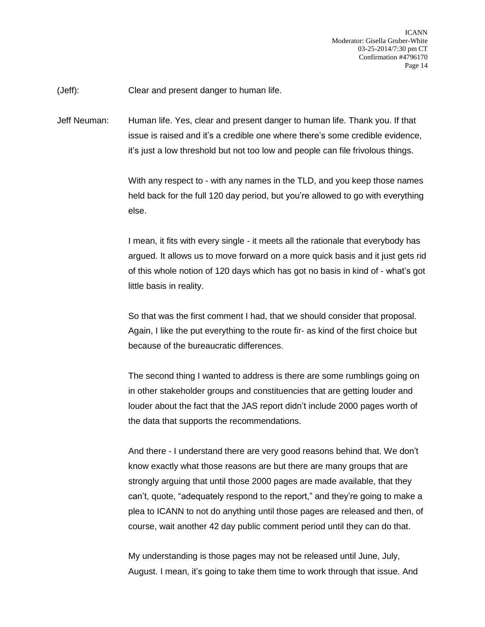(Jeff): Clear and present danger to human life.

Jeff Neuman: Human life. Yes, clear and present danger to human life. Thank you. If that issue is raised and it's a credible one where there's some credible evidence, it's just a low threshold but not too low and people can file frivolous things.

> With any respect to - with any names in the TLD, and you keep those names held back for the full 120 day period, but you're allowed to go with everything else.

> I mean, it fits with every single - it meets all the rationale that everybody has argued. It allows us to move forward on a more quick basis and it just gets rid of this whole notion of 120 days which has got no basis in kind of - what's got little basis in reality.

So that was the first comment I had, that we should consider that proposal. Again, I like the put everything to the route fir- as kind of the first choice but because of the bureaucratic differences.

The second thing I wanted to address is there are some rumblings going on in other stakeholder groups and constituencies that are getting louder and louder about the fact that the JAS report didn't include 2000 pages worth of the data that supports the recommendations.

And there - I understand there are very good reasons behind that. We don't know exactly what those reasons are but there are many groups that are strongly arguing that until those 2000 pages are made available, that they can't, quote, "adequately respond to the report," and they're going to make a plea to ICANN to not do anything until those pages are released and then, of course, wait another 42 day public comment period until they can do that.

My understanding is those pages may not be released until June, July, August. I mean, it's going to take them time to work through that issue. And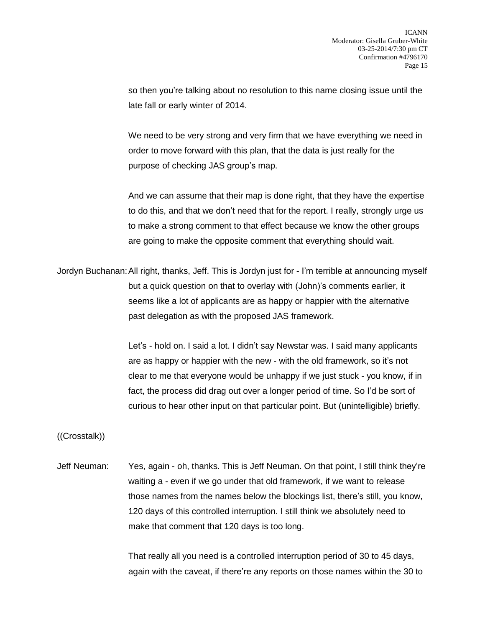so then you're talking about no resolution to this name closing issue until the late fall or early winter of 2014.

We need to be very strong and very firm that we have everything we need in order to move forward with this plan, that the data is just really for the purpose of checking JAS group's map.

And we can assume that their map is done right, that they have the expertise to do this, and that we don't need that for the report. I really, strongly urge us to make a strong comment to that effect because we know the other groups are going to make the opposite comment that everything should wait.

Jordyn Buchanan:All right, thanks, Jeff. This is Jordyn just for - I'm terrible at announcing myself but a quick question on that to overlay with (John)'s comments earlier, it seems like a lot of applicants are as happy or happier with the alternative past delegation as with the proposed JAS framework.

> Let's - hold on. I said a lot. I didn't say Newstar was. I said many applicants are as happy or happier with the new - with the old framework, so it's not clear to me that everyone would be unhappy if we just stuck - you know, if in fact, the process did drag out over a longer period of time. So I'd be sort of curious to hear other input on that particular point. But (unintelligible) briefly.

((Crosstalk))

Jeff Neuman: Yes, again - oh, thanks. This is Jeff Neuman. On that point, I still think they're waiting a - even if we go under that old framework, if we want to release those names from the names below the blockings list, there's still, you know, 120 days of this controlled interruption. I still think we absolutely need to make that comment that 120 days is too long.

> That really all you need is a controlled interruption period of 30 to 45 days, again with the caveat, if there're any reports on those names within the 30 to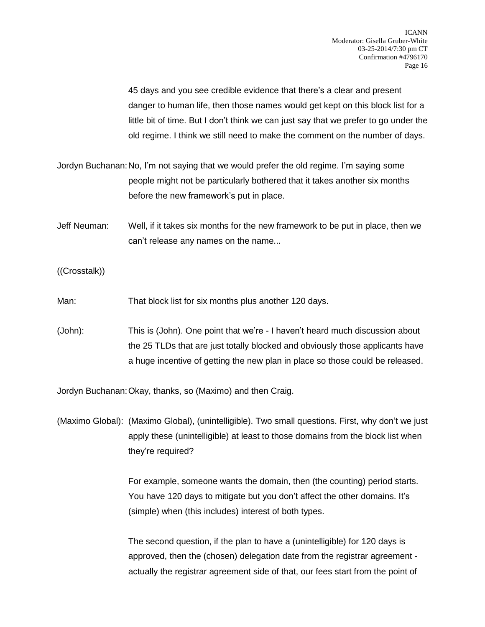45 days and you see credible evidence that there's a clear and present danger to human life, then those names would get kept on this block list for a little bit of time. But I don't think we can just say that we prefer to go under the old regime. I think we still need to make the comment on the number of days.

Jordyn Buchanan:No, I'm not saying that we would prefer the old regime. I'm saying some people might not be particularly bothered that it takes another six months before the new framework's put in place.

- Jeff Neuman: Well, if it takes six months for the new framework to be put in place, then we can't release any names on the name...
- ((Crosstalk))
- Man: That block list for six months plus another 120 days.
- (John): This is (John). One point that we're I haven't heard much discussion about the 25 TLDs that are just totally blocked and obviously those applicants have a huge incentive of getting the new plan in place so those could be released.

Jordyn Buchanan:Okay, thanks, so (Maximo) and then Craig.

(Maximo Global): (Maximo Global), (unintelligible). Two small questions. First, why don't we just apply these (unintelligible) at least to those domains from the block list when they're required?

> For example, someone wants the domain, then (the counting) period starts. You have 120 days to mitigate but you don't affect the other domains. It's (simple) when (this includes) interest of both types.

> The second question, if the plan to have a (unintelligible) for 120 days is approved, then the (chosen) delegation date from the registrar agreement actually the registrar agreement side of that, our fees start from the point of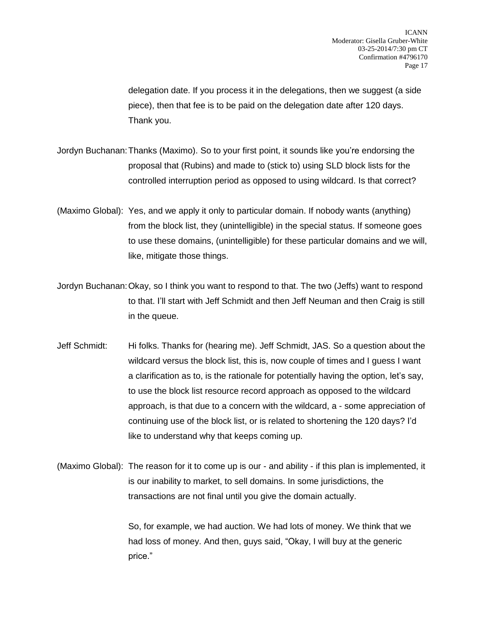delegation date. If you process it in the delegations, then we suggest (a side piece), then that fee is to be paid on the delegation date after 120 days. Thank you.

- Jordyn Buchanan:Thanks (Maximo). So to your first point, it sounds like you're endorsing the proposal that (Rubins) and made to (stick to) using SLD block lists for the controlled interruption period as opposed to using wildcard. Is that correct?
- (Maximo Global): Yes, and we apply it only to particular domain. If nobody wants (anything) from the block list, they (unintelligible) in the special status. If someone goes to use these domains, (unintelligible) for these particular domains and we will, like, mitigate those things.
- Jordyn Buchanan:Okay, so I think you want to respond to that. The two (Jeffs) want to respond to that. I'll start with Jeff Schmidt and then Jeff Neuman and then Craig is still in the queue.
- Jeff Schmidt: Hi folks. Thanks for (hearing me). Jeff Schmidt, JAS. So a question about the wildcard versus the block list, this is, now couple of times and I guess I want a clarification as to, is the rationale for potentially having the option, let's say, to use the block list resource record approach as opposed to the wildcard approach, is that due to a concern with the wildcard, a - some appreciation of continuing use of the block list, or is related to shortening the 120 days? I'd like to understand why that keeps coming up.
- (Maximo Global): The reason for it to come up is our and ability if this plan is implemented, it is our inability to market, to sell domains. In some jurisdictions, the transactions are not final until you give the domain actually.

So, for example, we had auction. We had lots of money. We think that we had loss of money. And then, guys said, "Okay, I will buy at the generic price."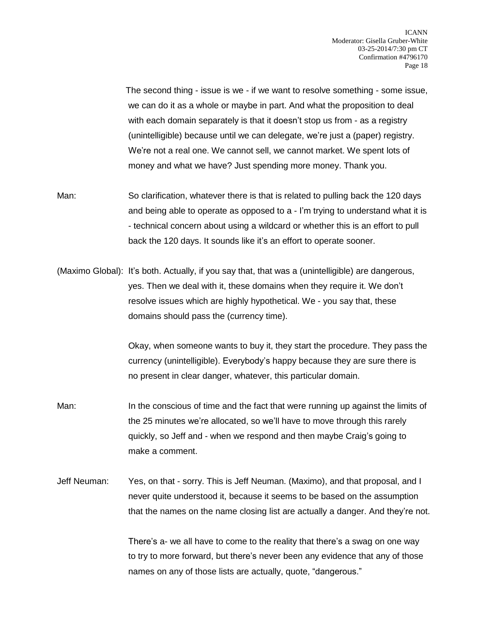The second thing - issue is we - if we want to resolve something - some issue, we can do it as a whole or maybe in part. And what the proposition to deal with each domain separately is that it doesn't stop us from - as a registry (unintelligible) because until we can delegate, we're just a (paper) registry. We're not a real one. We cannot sell, we cannot market. We spent lots of money and what we have? Just spending more money. Thank you.

- Man: So clarification, whatever there is that is related to pulling back the 120 days and being able to operate as opposed to a - I'm trying to understand what it is - technical concern about using a wildcard or whether this is an effort to pull back the 120 days. It sounds like it's an effort to operate sooner.
- (Maximo Global): It's both. Actually, if you say that, that was a (unintelligible) are dangerous, yes. Then we deal with it, these domains when they require it. We don't resolve issues which are highly hypothetical. We - you say that, these domains should pass the (currency time).

Okay, when someone wants to buy it, they start the procedure. They pass the currency (unintelligible). Everybody's happy because they are sure there is no present in clear danger, whatever, this particular domain.

- Man: In the conscious of time and the fact that were running up against the limits of the 25 minutes we're allocated, so we'll have to move through this rarely quickly, so Jeff and - when we respond and then maybe Craig's going to make a comment.
- Jeff Neuman: Yes, on that sorry. This is Jeff Neuman. (Maximo), and that proposal, and I never quite understood it, because it seems to be based on the assumption that the names on the name closing list are actually a danger. And they're not.

There's a- we all have to come to the reality that there's a swag on one way to try to more forward, but there's never been any evidence that any of those names on any of those lists are actually, quote, "dangerous."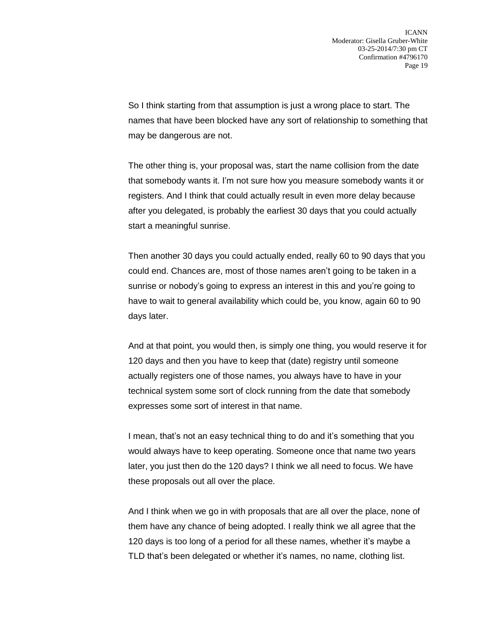So I think starting from that assumption is just a wrong place to start. The names that have been blocked have any sort of relationship to something that may be dangerous are not.

The other thing is, your proposal was, start the name collision from the date that somebody wants it. I'm not sure how you measure somebody wants it or registers. And I think that could actually result in even more delay because after you delegated, is probably the earliest 30 days that you could actually start a meaningful sunrise.

Then another 30 days you could actually ended, really 60 to 90 days that you could end. Chances are, most of those names aren't going to be taken in a sunrise or nobody's going to express an interest in this and you're going to have to wait to general availability which could be, you know, again 60 to 90 days later.

And at that point, you would then, is simply one thing, you would reserve it for 120 days and then you have to keep that (date) registry until someone actually registers one of those names, you always have to have in your technical system some sort of clock running from the date that somebody expresses some sort of interest in that name.

I mean, that's not an easy technical thing to do and it's something that you would always have to keep operating. Someone once that name two years later, you just then do the 120 days? I think we all need to focus. We have these proposals out all over the place.

And I think when we go in with proposals that are all over the place, none of them have any chance of being adopted. I really think we all agree that the 120 days is too long of a period for all these names, whether it's maybe a TLD that's been delegated or whether it's names, no name, clothing list.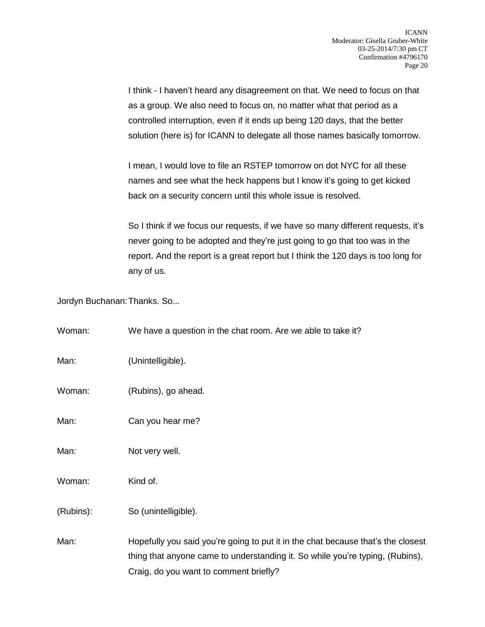I think - I haven't heard any disagreement on that. We need to focus on that as a group. We also need to focus on, no matter what that period as a controlled interruption, even if it ends up being 120 days, that the better solution (here is) for ICANN to delegate all those names basically tomorrow.

I mean, I would love to file an RSTEP tomorrow on dot NYC for all these names and see what the heck happens but I know it's going to get kicked back on a security concern until this whole issue is resolved.

So I think if we focus our requests, if we have so many different requests, it's never going to be adopted and they're just going to go that too was in the report. And the report is a great report but I think the 120 days is too long for any of us.

Jordyn Buchanan:Thanks. So...

| Woman:    | We have a question in the chat room. Are we able to take it?                                                                                                                                                |
|-----------|-------------------------------------------------------------------------------------------------------------------------------------------------------------------------------------------------------------|
| Man:      | (Unintelligible).                                                                                                                                                                                           |
| Woman:    | (Rubins), go ahead.                                                                                                                                                                                         |
| Man:      | Can you hear me?                                                                                                                                                                                            |
| Man:      | Not very well.                                                                                                                                                                                              |
| Woman:    | Kind of.                                                                                                                                                                                                    |
| (Rubins): | So (unintelligible).                                                                                                                                                                                        |
| Man:      | Hopefully you said you're going to put it in the chat because that's the closest<br>thing that anyone came to understanding it. So while you're typing, (Rubins),<br>Craig, do you want to comment briefly? |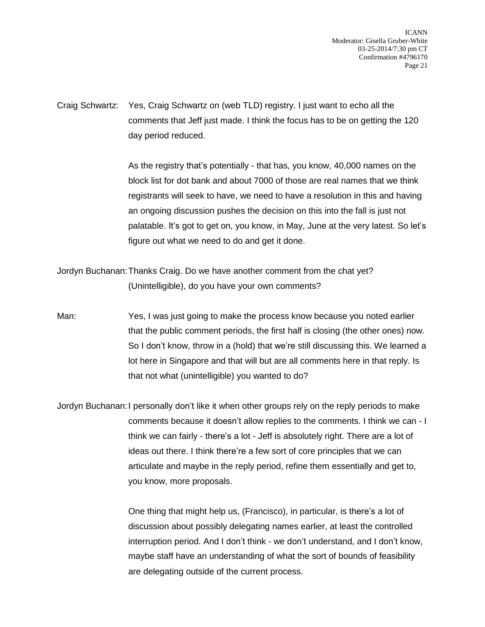ICANN Moderator: Gisella Gruber-White 03-25-2014/7:30 pm CT Confirmation #4796170 Page 21

Craig Schwartz: Yes, Craig Schwartz on (web TLD) registry. I just want to echo all the comments that Jeff just made. I think the focus has to be on getting the 120 day period reduced.

> As the registry that's potentially - that has, you know, 40,000 names on the block list for dot bank and about 7000 of those are real names that we think registrants will seek to have, we need to have a resolution in this and having an ongoing discussion pushes the decision on this into the fall is just not palatable. It's got to get on, you know, in May, June at the very latest. So let's figure out what we need to do and get it done.

Jordyn Buchanan:Thanks Craig. Do we have another comment from the chat yet? (Unintelligible), do you have your own comments?

Man: Yes, I was just going to make the process know because you noted earlier that the public comment periods, the first half is closing (the other ones) now. So I don't know, throw in a (hold) that we're still discussing this. We learned a lot here in Singapore and that will but are all comments here in that reply. Is that not what (unintelligible) you wanted to do?

Jordyn Buchanan:I personally don't like it when other groups rely on the reply periods to make comments because it doesn't allow replies to the comments. I think we can - I think we can fairly - there's a lot - Jeff is absolutely right. There are a lot of ideas out there. I think there're a few sort of core principles that we can articulate and maybe in the reply period, refine them essentially and get to, you know, more proposals.

> One thing that might help us, (Francisco), in particular, is there's a lot of discussion about possibly delegating names earlier, at least the controlled interruption period. And I don't think - we don't understand, and I don't know, maybe staff have an understanding of what the sort of bounds of feasibility are delegating outside of the current process.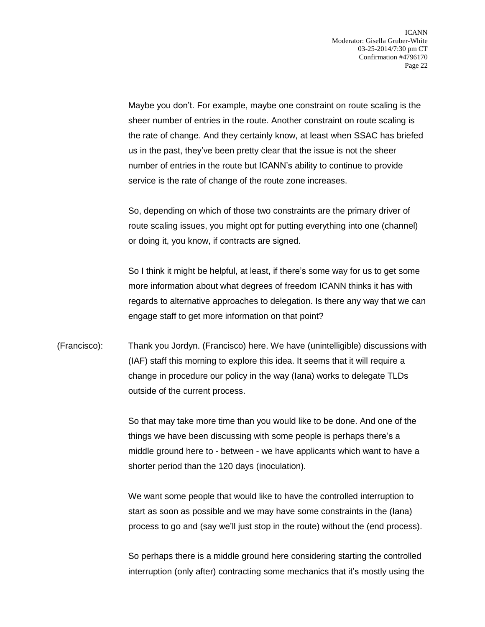Maybe you don't. For example, maybe one constraint on route scaling is the sheer number of entries in the route. Another constraint on route scaling is the rate of change. And they certainly know, at least when SSAC has briefed us in the past, they've been pretty clear that the issue is not the sheer number of entries in the route but ICANN's ability to continue to provide service is the rate of change of the route zone increases.

So, depending on which of those two constraints are the primary driver of route scaling issues, you might opt for putting everything into one (channel) or doing it, you know, if contracts are signed.

So I think it might be helpful, at least, if there's some way for us to get some more information about what degrees of freedom ICANN thinks it has with regards to alternative approaches to delegation. Is there any way that we can engage staff to get more information on that point?

(Francisco): Thank you Jordyn. (Francisco) here. We have (unintelligible) discussions with (IAF) staff this morning to explore this idea. It seems that it will require a change in procedure our policy in the way (Iana) works to delegate TLDs outside of the current process.

> So that may take more time than you would like to be done. And one of the things we have been discussing with some people is perhaps there's a middle ground here to - between - we have applicants which want to have a shorter period than the 120 days (inoculation).

> We want some people that would like to have the controlled interruption to start as soon as possible and we may have some constraints in the (Iana) process to go and (say we'll just stop in the route) without the (end process).

So perhaps there is a middle ground here considering starting the controlled interruption (only after) contracting some mechanics that it's mostly using the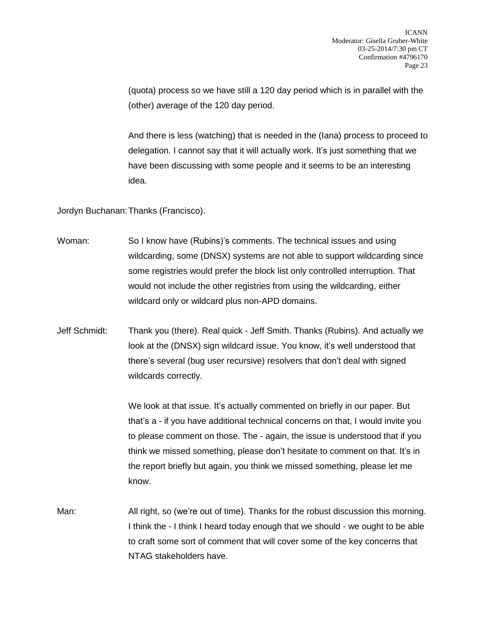(quota) process so we have still a 120 day period which is in parallel with the (other) average of the 120 day period.

And there is less (watching) that is needed in the (Iana) process to proceed to delegation. I cannot say that it will actually work. It's just something that we have been discussing with some people and it seems to be an interesting idea.

Jordyn Buchanan:Thanks (Francisco).

| Woman: | So I know have (Rubins)'s comments. The technical issues and using             |
|--------|--------------------------------------------------------------------------------|
|        | wildcarding, some (DNSX) systems are not able to support wildcarding since     |
|        | some registries would prefer the block list only controlled interruption. That |
|        | would not include the other registries from using the wildcarding, either      |
|        | wildcard only or wildcard plus non-APD domains.                                |

Jeff Schmidt: Thank you (there). Real quick - Jeff Smith. Thanks (Rubins). And actually we look at the (DNSX) sign wildcard issue. You know, it's well understood that there's several (bug user recursive) resolvers that don't deal with signed wildcards correctly.

> We look at that issue. It's actually commented on briefly in our paper. But that's a - if you have additional technical concerns on that, I would invite you to please comment on those. The - again, the issue is understood that if you think we missed something, please don't hesitate to comment on that. It's in the report briefly but again, you think we missed something, please let me know.

Man: All right, so (we're out of time). Thanks for the robust discussion this morning. I think the - I think I heard today enough that we should - we ought to be able to craft some sort of comment that will cover some of the key concerns that NTAG stakeholders have.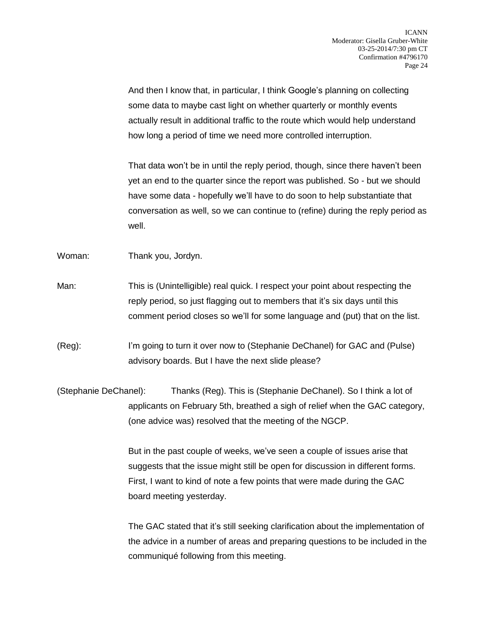And then I know that, in particular, I think Google's planning on collecting some data to maybe cast light on whether quarterly or monthly events actually result in additional traffic to the route which would help understand how long a period of time we need more controlled interruption.

That data won't be in until the reply period, though, since there haven't been yet an end to the quarter since the report was published. So - but we should have some data - hopefully we'll have to do soon to help substantiate that conversation as well, so we can continue to (refine) during the reply period as well.

Woman: Thank you, Jordyn.

Man: This is (Unintelligible) real quick. I respect your point about respecting the reply period, so just flagging out to members that it's six days until this comment period closes so we'll for some language and (put) that on the list.

(Reg): I'm going to turn it over now to (Stephanie DeChanel) for GAC and (Pulse) advisory boards. But I have the next slide please?

(Stephanie DeChanel): Thanks (Reg). This is (Stephanie DeChanel). So I think a lot of applicants on February 5th, breathed a sigh of relief when the GAC category, (one advice was) resolved that the meeting of the NGCP.

> But in the past couple of weeks, we've seen a couple of issues arise that suggests that the issue might still be open for discussion in different forms. First, I want to kind of note a few points that were made during the GAC board meeting yesterday.

The GAC stated that it's still seeking clarification about the implementation of the advice in a number of areas and preparing questions to be included in the communiqué following from this meeting.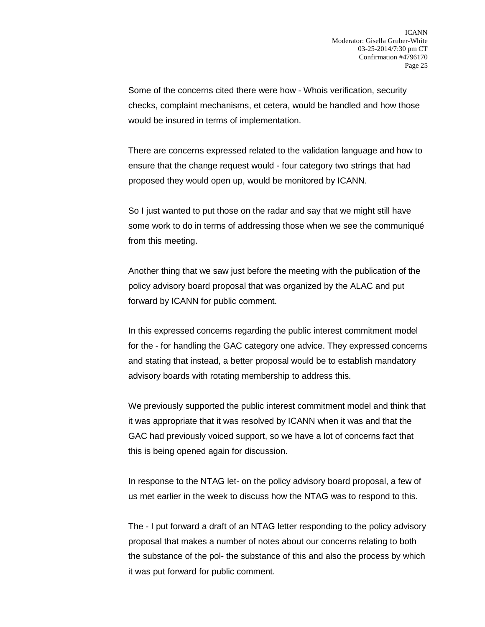Some of the concerns cited there were how - Whois verification, security checks, complaint mechanisms, et cetera, would be handled and how those would be insured in terms of implementation.

There are concerns expressed related to the validation language and how to ensure that the change request would - four category two strings that had proposed they would open up, would be monitored by ICANN.

So I just wanted to put those on the radar and say that we might still have some work to do in terms of addressing those when we see the communiqué from this meeting.

Another thing that we saw just before the meeting with the publication of the policy advisory board proposal that was organized by the ALAC and put forward by ICANN for public comment.

In this expressed concerns regarding the public interest commitment model for the - for handling the GAC category one advice. They expressed concerns and stating that instead, a better proposal would be to establish mandatory advisory boards with rotating membership to address this.

We previously supported the public interest commitment model and think that it was appropriate that it was resolved by ICANN when it was and that the GAC had previously voiced support, so we have a lot of concerns fact that this is being opened again for discussion.

In response to the NTAG let- on the policy advisory board proposal, a few of us met earlier in the week to discuss how the NTAG was to respond to this.

The - I put forward a draft of an NTAG letter responding to the policy advisory proposal that makes a number of notes about our concerns relating to both the substance of the pol- the substance of this and also the process by which it was put forward for public comment.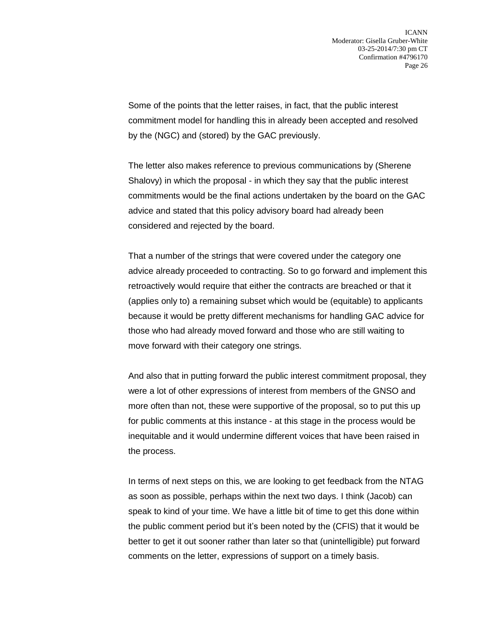Some of the points that the letter raises, in fact, that the public interest commitment model for handling this in already been accepted and resolved by the (NGC) and (stored) by the GAC previously.

The letter also makes reference to previous communications by (Sherene Shalovy) in which the proposal - in which they say that the public interest commitments would be the final actions undertaken by the board on the GAC advice and stated that this policy advisory board had already been considered and rejected by the board.

That a number of the strings that were covered under the category one advice already proceeded to contracting. So to go forward and implement this retroactively would require that either the contracts are breached or that it (applies only to) a remaining subset which would be (equitable) to applicants because it would be pretty different mechanisms for handling GAC advice for those who had already moved forward and those who are still waiting to move forward with their category one strings.

And also that in putting forward the public interest commitment proposal, they were a lot of other expressions of interest from members of the GNSO and more often than not, these were supportive of the proposal, so to put this up for public comments at this instance - at this stage in the process would be inequitable and it would undermine different voices that have been raised in the process.

In terms of next steps on this, we are looking to get feedback from the NTAG as soon as possible, perhaps within the next two days. I think (Jacob) can speak to kind of your time. We have a little bit of time to get this done within the public comment period but it's been noted by the (CFIS) that it would be better to get it out sooner rather than later so that (unintelligible) put forward comments on the letter, expressions of support on a timely basis.